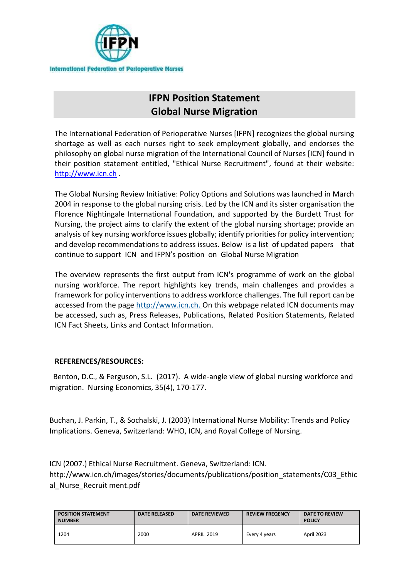

## **IFPN Position Statement Global Nurse Migration**

The International Federation of Perioperative Nurses [IFPN] recognizes the global nursing shortage as well as each nurses right to seek employment globally, and endorses the philosophy on global nurse migration of the International Council of Nurses [ICN] found in their position statement entitled, "Ethical Nurse Recruitment", found at their website: [http://www.icn.ch](http://www.icn.ch/).

The Global Nursing Review Initiative: Policy Options and Solutions was launched in March 2004 in response to the global nursing crisis. Led by the ICN and its sister organisation the Florence Nightingale International Foundation, and supported by the Burdett Trust for Nursing, the project aims to clarify the extent of the global nursing shortage; provide an analysis of key nursing workforce issues globally; identify priorities for policy intervention; and develop recommendations to address issues. Below is a list of updated papers that continue to support ICN and IFPN's position on Global Nurse Migration

The overview represents the first output from ICN's programme of work on the global nursing workforce. The report highlights key trends, main challenges and provides a framework for policy interventions to address workforce challenges. The full report can be accessed from the page [http://www.icn.ch.](http://www.icn.ch/global/#4) On this webpage related ICN documents may be accessed, such as, Press Releases, Publications, Related Position Statements, Related ICN Fact Sheets, Links and Contact Information.

## **REFERENCES/RESOURCES:**

 Benton, D.C., & Ferguson, S.L. (2017). A wide-angle view of global nursing workforce and migration. Nursing Economics, 35(4), 170-177.

Buchan, J. Parkin, T., & Sochalski, J. (2003) International Nurse Mobility: Trends and Policy Implications. Geneva, Switzerland: WHO, ICN, and Royal College of Nursing.

ICN (2007.) Ethical Nurse Recruitment. Geneva, Switzerland: ICN.

http://www.icn.ch/images/stories/documents/publications/position\_statements/C03\_Ethic al\_Nurse\_Recruit ment.pdf

| <b>POSITION STATEMENT</b><br><b>NUMBER</b> | <b>DATE RELEASED</b> | <b>DATE REVIEWED</b> | <b>REVIEW FREQENCY</b> | DATE TO REVIEW<br><b>POLICY</b> |
|--------------------------------------------|----------------------|----------------------|------------------------|---------------------------------|
| 1204                                       | 2000                 | <b>APRIL 2019</b>    | Every 4 years          | <b>April 2023</b>               |